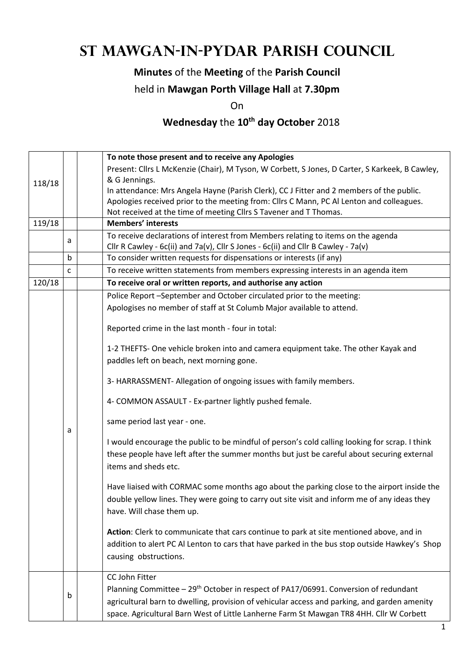# **St Mawgan-in-Pydar Parish Council**

### **Minutes** of the **Meeting** of the **Parish Council**

#### held in **Mawgan Porth Village Hall** at **7.30pm**

On

## **Wednesday** the **10th day October** 2018

|        |   | To note those present and to receive any Apologies                                              |  |  |  |
|--------|---|-------------------------------------------------------------------------------------------------|--|--|--|
|        |   | Present: Cllrs L McKenzie (Chair), M Tyson, W Corbett, S Jones, D Carter, S Karkeek, B Cawley,  |  |  |  |
| 118/18 |   | & G Jennings.                                                                                   |  |  |  |
|        |   | In attendance: Mrs Angela Hayne (Parish Clerk), CC J Fitter and 2 members of the public.        |  |  |  |
|        |   | Apologies received prior to the meeting from: Cllrs C Mann, PC Al Lenton and colleagues.        |  |  |  |
|        |   | Not received at the time of meeting Cllrs S Tavener and T Thomas.                               |  |  |  |
| 119/18 |   | <b>Members' interests</b>                                                                       |  |  |  |
|        | a | To receive declarations of interest from Members relating to items on the agenda                |  |  |  |
|        |   | Cllr R Cawley - 6c(ii) and 7a(v), Cllr S Jones - 6c(ii) and Cllr B Cawley - 7a(v)               |  |  |  |
|        | b | To consider written requests for dispensations or interests (if any)                            |  |  |  |
|        | C | To receive written statements from members expressing interests in an agenda item               |  |  |  |
| 120/18 |   | To receive oral or written reports, and authorise any action                                    |  |  |  |
|        |   | Police Report -September and October circulated prior to the meeting:                           |  |  |  |
|        |   | Apologises no member of staff at St Columb Major available to attend.                           |  |  |  |
|        |   |                                                                                                 |  |  |  |
|        |   | Reported crime in the last month - four in total:                                               |  |  |  |
|        |   | 1-2 THEFTS- One vehicle broken into and camera equipment take. The other Kayak and              |  |  |  |
|        |   | paddles left on beach, next morning gone.                                                       |  |  |  |
|        |   |                                                                                                 |  |  |  |
|        |   | 3- HARRASSMENT- Allegation of ongoing issues with family members.                               |  |  |  |
|        |   | 4- COMMON ASSAULT - Ex-partner lightly pushed female.                                           |  |  |  |
|        |   | same period last year - one.                                                                    |  |  |  |
|        | а | I would encourage the public to be mindful of person's cold calling looking for scrap. I think  |  |  |  |
|        |   | these people have left after the summer months but just be careful about securing external      |  |  |  |
|        |   | items and sheds etc.                                                                            |  |  |  |
|        |   |                                                                                                 |  |  |  |
|        |   | Have liaised with CORMAC some months ago about the parking close to the airport inside the      |  |  |  |
|        |   | double yellow lines. They were going to carry out site visit and inform me of any ideas they    |  |  |  |
|        |   | have. Will chase them up.                                                                       |  |  |  |
|        |   |                                                                                                 |  |  |  |
|        |   | Action: Clerk to communicate that cars continue to park at site mentioned above, and in         |  |  |  |
|        |   | addition to alert PC Al Lenton to cars that have parked in the bus stop outside Hawkey's Shop   |  |  |  |
|        |   | causing obstructions.                                                                           |  |  |  |
|        |   | <b>CC John Fitter</b>                                                                           |  |  |  |
|        |   | Planning Committee - 29 <sup>th</sup> October in respect of PA17/06991. Conversion of redundant |  |  |  |
|        | b | agricultural barn to dwelling, provision of vehicular access and parking, and garden amenity    |  |  |  |
|        |   |                                                                                                 |  |  |  |
|        |   | space. Agricultural Barn West of Little Lanherne Farm St Mawgan TR8 4HH. Cllr W Corbett         |  |  |  |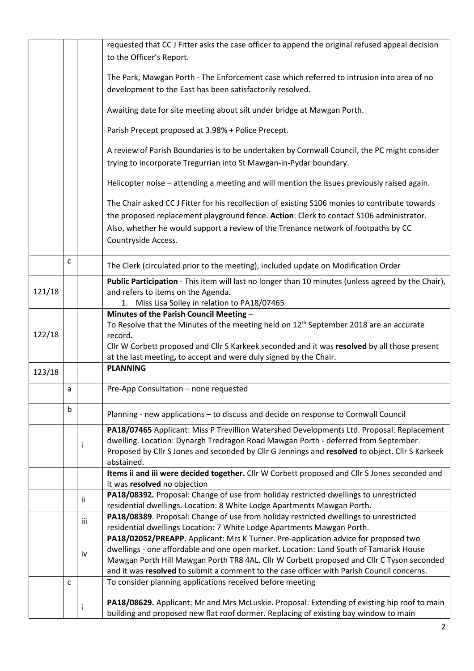|                                              |              |              | requested that CCJ Fitter asks the case officer to append the original refused appeal decision                                                |  |
|----------------------------------------------|--------------|--------------|-----------------------------------------------------------------------------------------------------------------------------------------------|--|
|                                              |              |              | to the Officer's Report.                                                                                                                      |  |
|                                              |              |              | The Park, Mawgan Porth - The Enforcement case which referred to intrusion into area of no                                                     |  |
|                                              |              |              | development to the East has been satisfactorily resolved.                                                                                     |  |
|                                              |              |              |                                                                                                                                               |  |
|                                              |              |              | Awaiting date for site meeting about silt under bridge at Mawgan Porth.                                                                       |  |
|                                              |              |              | Parish Precept proposed at 3.98% + Police Precept.                                                                                            |  |
|                                              |              |              | A review of Parish Boundaries is to be undertaken by Cornwall Council, the PC might consider                                                  |  |
|                                              |              |              | trying to incorporate Tregurrian into St Mawgan-in-Pydar boundary.                                                                            |  |
|                                              |              |              | Helicopter noise - attending a meeting and will mention the issues previously raised again.                                                   |  |
|                                              |              |              | The Chair asked CCJ Fitter for his recollection of existing S106 monies to contribute towards                                                 |  |
|                                              |              |              | the proposed replacement playground fence. Action: Clerk to contact S106 administrator.                                                       |  |
|                                              |              |              | Also, whether he would support a review of the Trenance network of footpaths by CC                                                            |  |
|                                              |              |              | Countryside Access.                                                                                                                           |  |
|                                              |              |              |                                                                                                                                               |  |
|                                              | $\mathsf{C}$ |              | The Clerk (circulated prior to the meeting), included update on Modification Order                                                            |  |
|                                              |              |              | Public Participation - This item will last no longer than 10 minutes (unless agreed by the Chair),                                            |  |
| 121/18<br>and refers to items on the Agenda. |              |              |                                                                                                                                               |  |
|                                              |              |              | 1. Miss Lisa Solley in relation to PA18/07465                                                                                                 |  |
|                                              |              |              | Minutes of the Parish Council Meeting -<br>To Resolve that the Minutes of the meeting held on 12 <sup>th</sup> September 2018 are an accurate |  |
| 122/18                                       |              |              | record.                                                                                                                                       |  |
|                                              |              |              | Cllr W Corbett proposed and Cllr S Karkeek seconded and it was resolved by all those present                                                  |  |
|                                              |              |              | at the last meeting, to accept and were duly signed by the Chair.                                                                             |  |
| 123/18                                       |              |              | <b>PLANNING</b>                                                                                                                               |  |
|                                              |              |              |                                                                                                                                               |  |
|                                              | a            |              | Pre-App Consultation - none requested                                                                                                         |  |
|                                              | b            |              | Planning - new applications - to discuss and decide on response to Cornwall Council                                                           |  |
|                                              |              |              | PA18/07465 Applicant: Miss P Trevillion Watershed Developments Ltd. Proposal: Replacement                                                     |  |
|                                              |              | Ť            | dwelling. Location: Dynargh Tredragon Road Mawgan Porth - deferred from September.                                                            |  |
|                                              |              |              | Proposed by Cllr S Jones and seconded by Cllr G Jennings and resolved to object. Cllr S Karkeek                                               |  |
|                                              |              |              | abstained.                                                                                                                                    |  |
|                                              |              |              | Items ii and iii were decided together. Cllr W Corbett proposed and Cllr S Jones seconded and                                                 |  |
|                                              |              |              | it was resolved no objection<br>PA18/08392. Proposal: Change of use from holiday restricted dwellings to unrestricted                         |  |
|                                              |              | ii.          | residential dwellings. Location: 8 White Lodge Apartments Mawgan Porth.                                                                       |  |
|                                              |              |              | PA18/08389. Proposal: Change of use from holiday restricted dwellings to unrestricted                                                         |  |
|                                              |              | iii          | residential dwellings Location: 7 White Lodge Apartments Mawgan Porth.                                                                        |  |
|                                              |              |              | PA18/02052/PREAPP. Applicant: Mrs K Turner. Pre-application advice for proposed two                                                           |  |
|                                              |              |              | dwellings - one affordable and one open market. Location: Land South of Tamarisk House                                                        |  |
|                                              |              | iv           | Mawgan Porth Hill Mawgan Porth TR8 4AL. Cllr W Corbett proposed and Cllr C Tyson seconded                                                     |  |
|                                              |              |              | and it was resolved to submit a comment to the case officer with Parish Council concerns.                                                     |  |
|                                              | $\mathsf{C}$ |              | To consider planning applications received before meeting                                                                                     |  |
|                                              |              |              | PA18/08629. Applicant: Mr and Mrs McLuskie. Proposal: Extending of existing hip roof to main                                                  |  |
|                                              |              | $\mathbf{I}$ | building and proposed new flat roof dormer. Replacing of existing bay window to main                                                          |  |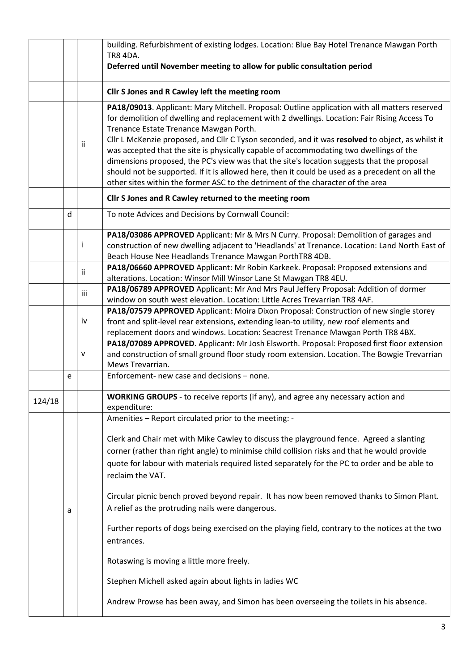|        |   |     | building. Refurbishment of existing lodges. Location: Blue Bay Hotel Trenance Mawgan Porth<br><b>TR8 4DA.</b>                                                                                                                                                                                                                                                                                                                                                                                                                                                                                                                                                                                                             |  |  |  |
|--------|---|-----|---------------------------------------------------------------------------------------------------------------------------------------------------------------------------------------------------------------------------------------------------------------------------------------------------------------------------------------------------------------------------------------------------------------------------------------------------------------------------------------------------------------------------------------------------------------------------------------------------------------------------------------------------------------------------------------------------------------------------|--|--|--|
|        |   |     | Deferred until November meeting to allow for public consultation period                                                                                                                                                                                                                                                                                                                                                                                                                                                                                                                                                                                                                                                   |  |  |  |
|        |   |     | Cllr S Jones and R Cawley left the meeting room                                                                                                                                                                                                                                                                                                                                                                                                                                                                                                                                                                                                                                                                           |  |  |  |
|        |   | ii  | PA18/09013. Applicant: Mary Mitchell. Proposal: Outline application with all matters reserved<br>for demolition of dwelling and replacement with 2 dwellings. Location: Fair Rising Access To<br>Trenance Estate Trenance Mawgan Porth.<br>Cllr L McKenzie proposed, and Cllr C Tyson seconded, and it was resolved to object, as whilst it<br>was accepted that the site is physically capable of accommodating two dwellings of the<br>dimensions proposed, the PC's view was that the site's location suggests that the proposal<br>should not be supported. If it is allowed here, then it could be used as a precedent on all the<br>other sites within the former ASC to the detriment of the character of the area |  |  |  |
|        |   |     | Cllr S Jones and R Cawley returned to the meeting room                                                                                                                                                                                                                                                                                                                                                                                                                                                                                                                                                                                                                                                                    |  |  |  |
|        | d |     | To note Advices and Decisions by Cornwall Council:                                                                                                                                                                                                                                                                                                                                                                                                                                                                                                                                                                                                                                                                        |  |  |  |
|        |   | Ť   | PA18/03086 APPROVED Applicant: Mr & Mrs N Curry. Proposal: Demolition of garages and<br>construction of new dwelling adjacent to 'Headlands' at Trenance. Location: Land North East of<br>Beach House Nee Headlands Trenance Mawgan PorthTR8 4DB.                                                                                                                                                                                                                                                                                                                                                                                                                                                                         |  |  |  |
|        |   | ii  | PA18/06660 APPROVED Applicant: Mr Robin Karkeek. Proposal: Proposed extensions and<br>alterations. Location: Winsor Mill Winsor Lane St Mawgan TR8 4EU.                                                                                                                                                                                                                                                                                                                                                                                                                                                                                                                                                                   |  |  |  |
|        |   | iii | PA18/06789 APPROVED Applicant: Mr And Mrs Paul Jeffery Proposal: Addition of dormer<br>window on south west elevation. Location: Little Acres Trevarrian TR8 4AF.                                                                                                                                                                                                                                                                                                                                                                                                                                                                                                                                                         |  |  |  |
|        |   | iv  | PA18/07579 APPROVED Applicant: Moira Dixon Proposal: Construction of new single storey<br>front and split-level rear extensions, extending lean-to utility, new roof elements and<br>replacement doors and windows. Location: Seacrest Trenance Mawgan Porth TR8 4BX.                                                                                                                                                                                                                                                                                                                                                                                                                                                     |  |  |  |
|        |   | v   | PA18/07089 APPROVED. Applicant: Mr Josh Elsworth. Proposal: Proposed first floor extension<br>and construction of small ground floor study room extension. Location. The Bowgie Trevarrian<br>Mews Trevarrian.                                                                                                                                                                                                                                                                                                                                                                                                                                                                                                            |  |  |  |
|        | е |     | Enforcement- new case and decisions - none.                                                                                                                                                                                                                                                                                                                                                                                                                                                                                                                                                                                                                                                                               |  |  |  |
| 124/18 |   |     | WORKING GROUPS - to receive reports (if any), and agree any necessary action and<br>expenditure:                                                                                                                                                                                                                                                                                                                                                                                                                                                                                                                                                                                                                          |  |  |  |
|        |   |     | Amenities - Report circulated prior to the meeting: -                                                                                                                                                                                                                                                                                                                                                                                                                                                                                                                                                                                                                                                                     |  |  |  |
|        |   |     | Clerk and Chair met with Mike Cawley to discuss the playground fence. Agreed a slanting<br>corner (rather than right angle) to minimise child collision risks and that he would provide<br>quote for labour with materials required listed separately for the PC to order and be able to<br>reclaim the VAT.                                                                                                                                                                                                                                                                                                                                                                                                              |  |  |  |
|        | а |     | Circular picnic bench proved beyond repair. It has now been removed thanks to Simon Plant.<br>A relief as the protruding nails were dangerous.                                                                                                                                                                                                                                                                                                                                                                                                                                                                                                                                                                            |  |  |  |
|        |   |     | Further reports of dogs being exercised on the playing field, contrary to the notices at the two<br>entrances.                                                                                                                                                                                                                                                                                                                                                                                                                                                                                                                                                                                                            |  |  |  |
|        |   |     | Rotaswing is moving a little more freely.                                                                                                                                                                                                                                                                                                                                                                                                                                                                                                                                                                                                                                                                                 |  |  |  |
|        |   |     | Stephen Michell asked again about lights in ladies WC                                                                                                                                                                                                                                                                                                                                                                                                                                                                                                                                                                                                                                                                     |  |  |  |
|        |   |     | Andrew Prowse has been away, and Simon has been overseeing the toilets in his absence.                                                                                                                                                                                                                                                                                                                                                                                                                                                                                                                                                                                                                                    |  |  |  |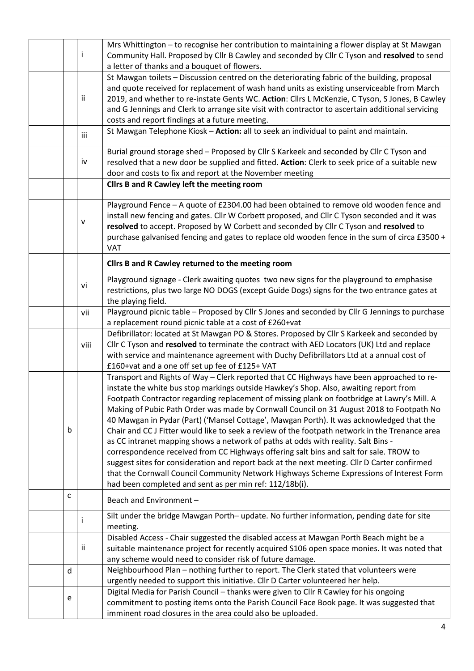|   |      | Mrs Whittington - to recognise her contribution to maintaining a flower display at St Mawgan                                                       |  |  |  |
|---|------|----------------------------------------------------------------------------------------------------------------------------------------------------|--|--|--|
|   |      | Community Hall. Proposed by Cllr B Cawley and seconded by Cllr C Tyson and resolved to send                                                        |  |  |  |
|   |      | a letter of thanks and a bouquet of flowers.                                                                                                       |  |  |  |
|   |      | St Mawgan toilets - Discussion centred on the deteriorating fabric of the building, proposal                                                       |  |  |  |
|   | ii.  | and quote received for replacement of wash hand units as existing unserviceable from March                                                         |  |  |  |
|   |      | 2019, and whether to re-instate Gents WC. Action: Cllrs L McKenzie, C Tyson, S Jones, B Cawley                                                     |  |  |  |
|   |      | and G Jennings and Clerk to arrange site visit with contractor to ascertain additional servicing<br>costs and report findings at a future meeting. |  |  |  |
|   |      | St Mawgan Telephone Kiosk - Action: all to seek an individual to paint and maintain.                                                               |  |  |  |
|   | iii  |                                                                                                                                                    |  |  |  |
|   |      | Burial ground storage shed - Proposed by Cllr S Karkeek and seconded by Cllr C Tyson and                                                           |  |  |  |
|   | iv   | resolved that a new door be supplied and fitted. Action: Clerk to seek price of a suitable new                                                     |  |  |  |
|   |      | door and costs to fix and report at the November meeting                                                                                           |  |  |  |
|   |      | Cllrs B and R Cawley left the meeting room                                                                                                         |  |  |  |
|   |      | Playground Fence - A quote of £2304.00 had been obtained to remove old wooden fence and                                                            |  |  |  |
|   |      | install new fencing and gates. Cllr W Corbett proposed, and Cllr C Tyson seconded and it was                                                       |  |  |  |
|   | v    | resolved to accept. Proposed by W Corbett and seconded by Cllr C Tyson and resolved to                                                             |  |  |  |
|   |      | purchase galvanised fencing and gates to replace old wooden fence in the sum of circa £3500 +                                                      |  |  |  |
|   |      | VAT                                                                                                                                                |  |  |  |
|   |      | Cllrs B and R Cawley returned to the meeting room                                                                                                  |  |  |  |
|   |      | Playground signage - Clerk awaiting quotes two new signs for the playground to emphasise                                                           |  |  |  |
|   | vi   | restrictions, plus two large NO DOGS (except Guide Dogs) signs for the two entrance gates at                                                       |  |  |  |
|   |      | the playing field.                                                                                                                                 |  |  |  |
|   | vii  | Playground picnic table - Proposed by Cllr S Jones and seconded by Cllr G Jennings to purchase                                                     |  |  |  |
|   |      | a replacement round picnic table at a cost of £260+vat                                                                                             |  |  |  |
|   |      | Defibrillator: located at St Mawgan PO & Stores. Proposed by Cllr S Karkeek and seconded by                                                        |  |  |  |
|   | viii | Cllr C Tyson and resolved to terminate the contract with AED Locators (UK) Ltd and replace                                                         |  |  |  |
|   |      | with service and maintenance agreement with Duchy Defibrillators Ltd at a annual cost of<br>£160+vat and a one off set up fee of £125+ VAT         |  |  |  |
|   |      | Transport and Rights of Way - Clerk reported that CC Highways have been approached to re-                                                          |  |  |  |
|   |      | instate the white bus stop markings outside Hawkey's Shop. Also, awaiting report from                                                              |  |  |  |
|   |      | Footpath Contractor regarding replacement of missing plank on footbridge at Lawry's Mill. A                                                        |  |  |  |
|   |      | Making of Pubic Path Order was made by Cornwall Council on 31 August 2018 to Footpath No                                                           |  |  |  |
|   |      | 40 Mawgan in Pydar (Part) ('Mansel Cottage', Mawgan Porth). It was acknowledged that the                                                           |  |  |  |
| b |      | Chair and CC J Fitter would like to seek a review of the footpath network in the Trenance area                                                     |  |  |  |
|   |      | as CC intranet mapping shows a network of paths at odds with reality. Salt Bins -                                                                  |  |  |  |
|   |      | correspondence received from CC Highways offering salt bins and salt for sale. TROW to                                                             |  |  |  |
|   |      | suggest sites for consideration and report back at the next meeting. Cllr D Carter confirmed                                                       |  |  |  |
|   |      | that the Cornwall Council Community Network Highways Scheme Expressions of Interest Form                                                           |  |  |  |
|   |      | had been completed and sent as per min ref: 112/18b(i).                                                                                            |  |  |  |
| c |      | Beach and Environment-                                                                                                                             |  |  |  |
|   |      | Silt under the bridge Mawgan Porth- update. No further information, pending date for site                                                          |  |  |  |
|   |      | meeting.<br>Disabled Access - Chair suggested the disabled access at Mawgan Porth Beach might be a                                                 |  |  |  |
|   | Ϊİ   | suitable maintenance project for recently acquired S106 open space monies. It was noted that                                                       |  |  |  |
|   |      | any scheme would need to consider risk of future damage.                                                                                           |  |  |  |
| d |      | Neighbourhood Plan - nothing further to report. The Clerk stated that volunteers were                                                              |  |  |  |
|   |      | urgently needed to support this initiative. Cllr D Carter volunteered her help.                                                                    |  |  |  |
|   |      | Digital Media for Parish Council - thanks were given to Cllr R Cawley for his ongoing                                                              |  |  |  |
| e |      | commitment to posting items onto the Parish Council Face Book page. It was suggested that                                                          |  |  |  |
|   |      | imminent road closures in the area could also be uploaded.                                                                                         |  |  |  |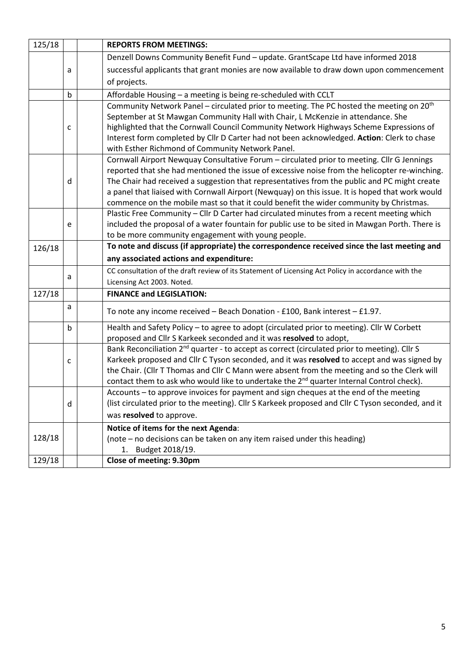| 125/18 |                                                    | <b>REPORTS FROM MEETINGS:</b>                                                                            |  |  |
|--------|----------------------------------------------------|----------------------------------------------------------------------------------------------------------|--|--|
|        |                                                    | Denzell Downs Community Benefit Fund - update. GrantScape Ltd have informed 2018                         |  |  |
|        | a                                                  | successful applicants that grant monies are now available to draw down upon commencement                 |  |  |
|        |                                                    | of projects.                                                                                             |  |  |
|        | $\mathsf b$                                        | Affordable Housing - a meeting is being re-scheduled with CCLT                                           |  |  |
|        |                                                    | Community Network Panel - circulated prior to meeting. The PC hosted the meeting on 20 <sup>th</sup>     |  |  |
|        |                                                    | September at St Mawgan Community Hall with Chair, L McKenzie in attendance. She                          |  |  |
|        | C                                                  | highlighted that the Cornwall Council Community Network Highways Scheme Expressions of                   |  |  |
|        |                                                    | Interest form completed by Cllr D Carter had not been acknowledged. Action: Clerk to chase               |  |  |
|        |                                                    | with Esther Richmond of Community Network Panel.                                                         |  |  |
|        |                                                    | Cornwall Airport Newquay Consultative Forum - circulated prior to meeting. Cllr G Jennings               |  |  |
|        |                                                    | reported that she had mentioned the issue of excessive noise from the helicopter re-winching.            |  |  |
|        | d                                                  | The Chair had received a suggestion that representatives from the public and PC might create             |  |  |
|        |                                                    | a panel that liaised with Cornwall Airport (Newquay) on this issue. It is hoped that work would          |  |  |
|        |                                                    | commence on the mobile mast so that it could benefit the wider community by Christmas.                   |  |  |
|        |                                                    | Plastic Free Community - Cllr D Carter had circulated minutes from a recent meeting which                |  |  |
|        | e                                                  | included the proposal of a water fountain for public use to be sited in Mawgan Porth. There is           |  |  |
|        | to be more community engagement with young people. |                                                                                                          |  |  |
| 126/18 |                                                    | To note and discuss (if appropriate) the correspondence received since the last meeting and              |  |  |
|        |                                                    | any associated actions and expenditure:                                                                  |  |  |
|        | a                                                  | CC consultation of the draft review of its Statement of Licensing Act Policy in accordance with the      |  |  |
|        |                                                    | Licensing Act 2003. Noted.                                                                               |  |  |
| 127/18 |                                                    | <b>FINANCE and LEGISLATION:</b>                                                                          |  |  |
|        | a                                                  | To note any income received - Beach Donation - £100, Bank interest - £1.97.                              |  |  |
|        | $\mathsf b$                                        | Health and Safety Policy - to agree to adopt (circulated prior to meeting). Cllr W Corbett               |  |  |
|        |                                                    | proposed and Cllr S Karkeek seconded and it was resolved to adopt,                                       |  |  |
|        |                                                    | Bank Reconciliation 2 <sup>nd</sup> quarter - to accept as correct (circulated prior to meeting). Cllr S |  |  |
|        | c                                                  | Karkeek proposed and Cllr C Tyson seconded, and it was resolved to accept and was signed by              |  |  |
|        |                                                    | the Chair. (Cllr T Thomas and Cllr C Mann were absent from the meeting and so the Clerk will             |  |  |
|        |                                                    | contact them to ask who would like to undertake the 2 <sup>nd</sup> quarter Internal Control check).     |  |  |
|        |                                                    | Accounts – to approve invoices for payment and sign cheques at the end of the meeting                    |  |  |
|        | d                                                  | (list circulated prior to the meeting). Cllr S Karkeek proposed and Cllr C Tyson seconded, and it        |  |  |
|        |                                                    | was resolved to approve.                                                                                 |  |  |
|        |                                                    | Notice of items for the next Agenda:                                                                     |  |  |
| 128/18 |                                                    | (note – no decisions can be taken on any item raised under this heading)                                 |  |  |
|        |                                                    | 1. Budget 2018/19.                                                                                       |  |  |
| 129/18 |                                                    | Close of meeting: 9.30pm                                                                                 |  |  |